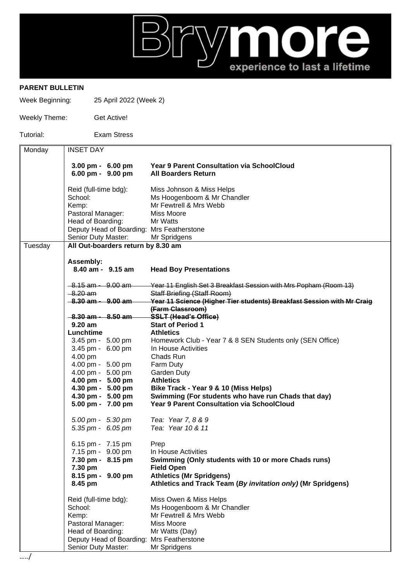

## **PARENT BULLETIN**

Week Beginning: 25 April 2022 (Week 2)

| Weekly Theme: | Get Active!        |
|---------------|--------------------|
| Tutorial:     | <b>Exam Stress</b> |

| Monday  | <b>INSET DAY</b>                          |                                                                        |
|---------|-------------------------------------------|------------------------------------------------------------------------|
|         |                                           |                                                                        |
|         | $3.00 \text{ pm} - 6.00 \text{ pm}$       | <b>Year 9 Parent Consultation via SchoolCloud</b>                      |
|         | 6.00 pm - 9.00 pm                         | <b>All Boarders Return</b>                                             |
|         |                                           |                                                                        |
|         | Reid (full-time bdg):                     | Miss Johnson & Miss Helps                                              |
|         | School:                                   | Ms Hoogenboom & Mr Chandler                                            |
|         |                                           | Mr Fewtrell & Mrs Webb                                                 |
|         | Kemp:                                     |                                                                        |
|         | Pastoral Manager:                         | <b>Miss Moore</b>                                                      |
|         | Head of Boarding:                         | Mr Watts                                                               |
|         | Deputy Head of Boarding: Mrs Featherstone |                                                                        |
|         | Senior Duty Master:                       | Mr Spridgens                                                           |
| Tuesday | All Out-boarders return by 8.30 am        |                                                                        |
|         |                                           |                                                                        |
|         | Assembly:                                 |                                                                        |
|         | 8.40 am - 9.15 am                         | <b>Head Boy Presentations</b>                                          |
|         |                                           |                                                                        |
|         | $-8.15$ am $-9.00$ am                     | Year 11 English Set 3 Breakfast Session with Mrs Popham (Room 13)      |
|         | <del>8.20 am</del>                        | <b>Staff Briefing (Staff Room)</b>                                     |
|         | $-8.30$ am $-9.00$ am                     | Year 11 Science (Higher Tier students) Breakfast Session with Mr Craig |
|         |                                           | (Farm Classroom)                                                       |
|         | $-8.30$ am $-8.50$ am                     | <b>SSLT (Head's Office)</b>                                            |
|         | $9.20$ am                                 | <b>Start of Period 1</b>                                               |
|         | Lunchtime                                 | <b>Athletics</b>                                                       |
|         | 3.45 pm - 5.00 pm                         | Homework Club - Year 7 & 8 SEN Students only (SEN Office)              |
|         | 3.45 pm - 6.00 pm                         | In House Activities                                                    |
|         | 4.00 pm                                   | Chads Run                                                              |
|         | 4.00 pm - 5.00 pm                         |                                                                        |
|         |                                           | Farm Duty                                                              |
|         | 4.00 pm - 5.00 pm                         | Garden Duty                                                            |
|         | 4.00 pm - 5.00 pm                         | <b>Athletics</b>                                                       |
|         | 4.30 pm - 5.00 pm                         | Bike Track - Year 9 & 10 (Miss Helps)                                  |
|         | 4.30 pm - 5.00 pm                         | Swimming (For students who have run Chads that day)                    |
|         | 5.00 pm - 7.00 pm                         | Year 9 Parent Consultation via SchoolCloud                             |
|         |                                           |                                                                        |
|         | 5.00 pm - 5.30 pm                         | Tea: Year 7, 8 & 9                                                     |
|         | 5.35 pm - $6.05$ pm                       | Tea: Year 10 & 11                                                      |
|         |                                           |                                                                        |
|         | 6.15 pm - 7.15 pm                         | Prep                                                                   |
|         | 7.15 pm - 9.00 pm                         | In House Activities                                                    |
|         | 7.30 pm - 8.15 pm                         | Swimming (Only students with 10 or more Chads runs)                    |
|         | 7.30 pm                                   | <b>Field Open</b>                                                      |
|         | 8.15 pm - 9.00 pm                         | <b>Athletics (Mr Spridgens)</b>                                        |
|         | 8.45 pm                                   | Athletics and Track Team (By invitation only) (Mr Spridgens)           |
|         |                                           |                                                                        |
|         | Reid (full-time bdg):                     | Miss Owen & Miss Helps                                                 |
|         | School:                                   | Ms Hoogenboom & Mr Chandler                                            |
|         |                                           | Mr Fewtrell & Mrs Webb                                                 |
|         | Kemp:                                     |                                                                        |
|         | Pastoral Manager:                         | Miss Moore                                                             |
|         | Head of Boarding:                         | Mr Watts (Day)                                                         |
|         | Deputy Head of Boarding: Mrs Featherstone |                                                                        |
|         | Senior Duty Master:                       | Mr Spridgens                                                           |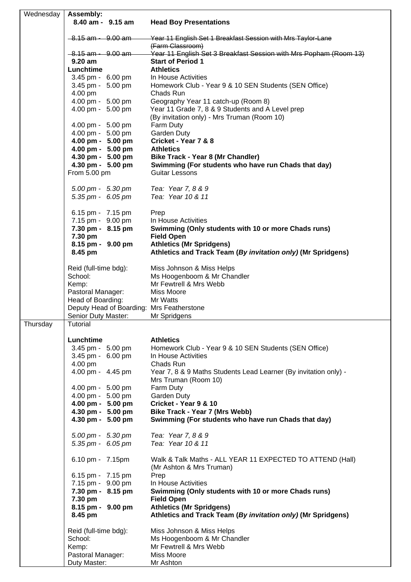| Wednesday | Assembly:                    |                   |                                                                   |
|-----------|------------------------------|-------------------|-------------------------------------------------------------------|
|           |                              | 8.40 am - 9.15 am | <b>Head Boy Presentations</b>                                     |
|           |                              |                   |                                                                   |
|           | <del>8.15 am - 9.00 am</del> |                   | Year 11 English Set 1 Breakfast Session with Mrs Taylor-Lane      |
|           |                              |                   | (Farm Classroom)                                                  |
|           |                              |                   |                                                                   |
|           | <del>8.15 am - 9.00 am</del> |                   | Year 11 English Set 3 Breakfast Session with Mrs Popham (Room 13) |
|           | $9.20$ am                    |                   | <b>Start of Period 1</b>                                          |
|           | Lunchtime                    |                   | <b>Athletics</b>                                                  |
|           | 3.45 pm - 6.00 pm            |                   | In House Activities                                               |
|           | 3.45 pm - 5.00 pm            |                   | Homework Club - Year 9 & 10 SEN Students (SEN Office)             |
|           |                              |                   |                                                                   |
|           | 4.00 pm                      |                   | Chads Run                                                         |
|           | 4.00 pm - 5.00 pm            |                   | Geography Year 11 catch-up (Room 8)                               |
|           | 4.00 pm - 5.00 pm            |                   | Year 11 Grade 7, 8 & 9 Students and A Level prep                  |
|           |                              |                   | (By invitation only) - Mrs Truman (Room 10)                       |
|           | 4.00 pm - 5.00 pm            |                   | Farm Duty                                                         |
|           | 4.00 pm - 5.00 pm            |                   | Garden Duty                                                       |
|           |                              |                   |                                                                   |
|           | 4.00 pm - 5.00 pm            |                   | Cricket - Year 7 & 8                                              |
|           | 4.00 pm - 5.00 pm            |                   | <b>Athletics</b>                                                  |
|           | 4.30 pm - 5.00 pm            |                   | <b>Bike Track - Year 8 (Mr Chandler)</b>                          |
|           | 4.30 pm - 5.00 pm            |                   | Swimming (For students who have run Chads that day)               |
|           | From 5.00 pm                 |                   | <b>Guitar Lessons</b>                                             |
|           |                              |                   |                                                                   |
|           |                              |                   |                                                                   |
|           | 5.00 pm - 5.30 pm            |                   | Tea: Year 7, 8 & 9                                                |
|           | 5.35 pm - 6.05 pm            |                   | Tea: Year 10 & 11                                                 |
|           |                              |                   |                                                                   |
|           | 6.15 pm - 7.15 pm            |                   | Prep                                                              |
|           | 7.15 pm - 9.00 pm            |                   | In House Activities                                               |
|           |                              |                   |                                                                   |
|           | 7.30 pm - 8.15 pm            |                   | Swimming (Only students with 10 or more Chads runs)               |
|           | 7.30 pm                      |                   | <b>Field Open</b>                                                 |
|           | 8.15 pm - 9.00 pm            |                   | <b>Athletics (Mr Spridgens)</b>                                   |
|           | 8.45 pm                      |                   | Athletics and Track Team (By invitation only) (Mr Spridgens)      |
|           |                              |                   |                                                                   |
|           | Reid (full-time bdg):        |                   | Miss Johnson & Miss Helps                                         |
|           |                              |                   |                                                                   |
|           | School:                      |                   | Ms Hoogenboom & Mr Chandler                                       |
|           | Kemp:                        |                   | Mr Fewtrell & Mrs Webb                                            |
|           | Pastoral Manager:            |                   | Miss Moore                                                        |
|           | Head of Boarding:            |                   | Mr Watts                                                          |
|           |                              |                   | Deputy Head of Boarding: Mrs Featherstone                         |
|           |                              |                   |                                                                   |
|           |                              |                   | Senior Duty Master: Mr Spridgens                                  |
| Thursday  | Tutorial                     |                   |                                                                   |
|           |                              |                   |                                                                   |
|           | Lunchtime                    |                   | <b>Athletics</b>                                                  |
|           | 3.45 pm - 5.00 pm            |                   | Homework Club - Year 9 & 10 SEN Students (SEN Office)             |
|           | 3.45 pm - 6.00 pm            |                   | In House Activities                                               |
|           |                              |                   |                                                                   |
|           | 4.00 pm                      |                   | Chads Run                                                         |
|           | 4.00 pm - 4.45 pm            |                   | Year 7, 8 & 9 Maths Students Lead Learner (By invitation only) -  |
|           |                              |                   | Mrs Truman (Room 10)                                              |
|           | 4.00 pm - 5.00 pm            |                   | Farm Duty                                                         |
|           | 4.00 pm - 5.00 pm            |                   | <b>Garden Duty</b>                                                |
|           | 4.00 pm - 5.00 pm            |                   | Cricket - Year 9 & 10                                             |
|           |                              |                   |                                                                   |
|           | 4.30 pm - 5.00 pm            |                   | Bike Track - Year 7 (Mrs Webb)                                    |
|           | 4.30 pm - 5.00 pm            |                   | Swimming (For students who have run Chads that day)               |
|           |                              |                   |                                                                   |
|           | 5.00 pm - 5.30 pm            |                   | Tea: Year 7, 8 & 9                                                |
|           | 5.35 pm - $6.05$ pm          |                   | Tea: Year 10 & 11                                                 |
|           |                              |                   |                                                                   |
|           |                              |                   |                                                                   |
|           | 6.10 pm - 7.15pm             |                   | Walk & Talk Maths - ALL YEAR 11 EXPECTED TO ATTEND (Hall)         |
|           |                              |                   | (Mr Ashton & Mrs Truman)                                          |
|           | 6.15 pm - 7.15 pm            |                   | Prep                                                              |
|           | 7.15 pm - 9.00 pm            |                   | In House Activities                                               |
|           | 7.30 pm - 8.15 pm            |                   | Swimming (Only students with 10 or more Chads runs)               |
|           |                              |                   |                                                                   |
|           | 7.30 pm                      |                   | <b>Field Open</b>                                                 |
|           | 8.15 pm - 9.00 pm            |                   | <b>Athletics (Mr Spridgens)</b>                                   |
|           | 8.45 pm                      |                   | Athletics and Track Team (By invitation only) (Mr Spridgens)      |
|           |                              |                   |                                                                   |
|           | Reid (full-time bdg):        |                   | Miss Johnson & Miss Helps                                         |
|           | School:                      |                   | Ms Hoogenboom & Mr Chandler                                       |
|           |                              |                   |                                                                   |
|           | Kemp:                        |                   | Mr Fewtrell & Mrs Webb                                            |
|           | Pastoral Manager:            |                   | Miss Moore                                                        |
|           | Duty Master:                 |                   | Mr Ashton                                                         |